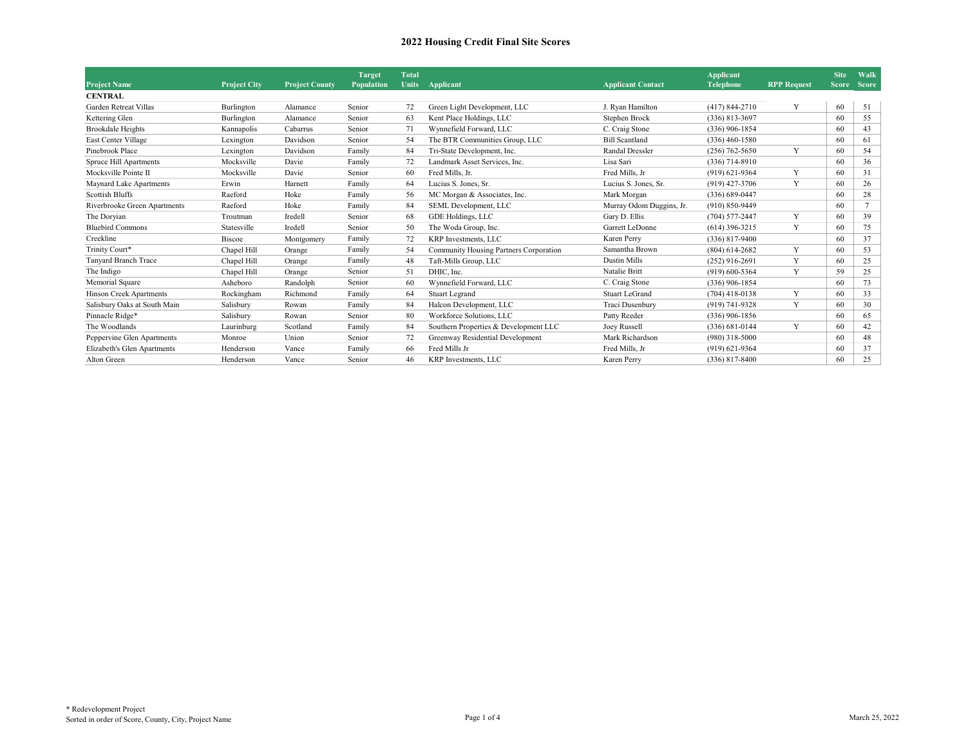|                                |                     |                       | <b>Target</b> | Total        |                                        |                          | <b>Applicant</b>   |                    | <b>Site</b>  | Walk           |
|--------------------------------|---------------------|-----------------------|---------------|--------------|----------------------------------------|--------------------------|--------------------|--------------------|--------------|----------------|
| <b>Project Name</b>            | <b>Project City</b> | <b>Project County</b> | Population    | <b>Units</b> | Applicant                              | <b>Applicant Contact</b> | <b>Telephone</b>   | <b>RPP Request</b> | <b>Score</b> | <b>Score</b>   |
| <b>CENTRAL</b>                 |                     |                       |               |              |                                        |                          |                    |                    |              |                |
| Garden Retreat Villas          | Burlington          | Alamance              | Senior        | 72           | Green Light Development, LLC           | J. Ryan Hamilton         | $(417)$ 844-2710   | Y                  | 60           | 51             |
| Kettering Glen                 | Burlington          | Alamance              | Senior        | 63           | Kent Place Holdings, LLC               | Stephen Brock            | $(336) 813 - 3697$ |                    | 60           | 55             |
| Brookdale Heights              | Kannapolis          | Cabarrus              | Senior        | 71           | Wynnefield Forward, LLC                | C. Craig Stone           | $(336)$ 906-1854   |                    | 60           | 43             |
| East Center Village            | Lexington           | Davidson              | Senior        | 54           | The BTR Communities Group, LLC         | <b>Bill Scantland</b>    | $(336)$ 460-1580   |                    | 60           | 61             |
| Pinebrook Place                | Lexington           | Davidson              | Family        | 84           | Tri-State Development, Inc.            | Randal Dressler          | $(256) 762 - 5650$ | Y                  | 60           | 54             |
| <b>Spruce Hill Apartments</b>  | Mocksville          | Davie                 | Family        | 72           | Landmark Asset Services, Inc.          | Lisa Sari                | $(336)$ 714-8910   |                    | 60           | 36             |
| Mocksville Pointe II           | Mocksville          | Davie                 | Senior        | 60           | Fred Mills, Jr.                        | Fred Mills, Jr           | $(919) 621 - 9364$ | Y                  | 60           | 31             |
| Maynard Lake Apartments        | Erwin               | Harnett               | Family        | 64           | Lucius S. Jones, Sr.                   | Lucius S. Jones, Sr.     | $(919)$ 427-3706   | Y                  | 60           | 26             |
| <b>Scottish Bluffs</b>         | Raeford             | Hoke                  | Family        | 56           | MC Morgan & Associates, Inc.           | Mark Morgan              | $(336) 689 - 0447$ |                    | 60           | 28             |
| Riverbrooke Green Apartments   | Raeford             | Hoke                  | Family        | 84           | SEML Development, LLC                  | Murray Odom Duggins, Jr. | $(910) 850 - 9449$ |                    | 60           | $\overline{7}$ |
| The Doryian                    | Troutman            | Iredell               | Senior        | 68           | GDE Holdings, LLC                      | Gary D. Ellis            | $(704)$ 577-2447   | Y                  | 60           | 39             |
| <b>Bluebird Commons</b>        | Statesville         | Iredell               | Senior        | 50           | The Woda Group, Inc.                   | Garrett LeDonne          | $(614)$ 396-3215   | Y                  | 60           | 75             |
| Creekline                      | <b>Biscoe</b>       | Montgomery            | Family        | 72           | KRP Investments, LLC                   | Karen Perry              | $(336)$ 817-9400   |                    | 60           | 37             |
| Trinity Court*                 | Chapel Hill         | Orange                | Family        | 54           | Community Housing Partners Corporation | Samantha Brown           | $(804) 614 - 2682$ | Y                  | 60           | 53             |
| Tanyard Branch Trace           | Chapel Hill         | Orange                | Family        | 48           | Taft-Mills Group, LLC                  | <b>Dustin Mills</b>      | $(252)$ 916-2691   | Y                  | 60           | 25             |
| The Indigo                     | Chapel Hill         | Orange                | Senior        | 51           | DHIC. Inc.                             | Natalie Britt            | $(919)$ 600-5364   | Y                  | 59           | 25             |
| Memorial Square                | Asheboro            | Randolph              | Senior        | 60           | Wynnefield Forward, LLC                | C. Craig Stone           | $(336)$ 906-1854   |                    | 60           | 73             |
| <b>Hinson Creek Apartments</b> | Rockingham          | Richmond              | Family        | 64           | <b>Stuart Legrand</b>                  | <b>Stuart LeGrand</b>    | $(704)$ 418-0138   | Y                  | 60           | 33             |
| Salisbury Oaks at South Main   | Salisbury           | Rowan                 | Family        | 84           | Halcon Development, LLC                | Traci Dusenbury          | $(919) 741 - 9328$ | Y                  | 60           | 30             |
| Pinnacle Ridge*                | Salisbury           | Rowan                 | Senior        | 80           | Workforce Solutions, LLC               | Patty Reeder             | $(336)$ 906-1856   |                    | 60           | 65             |
| The Woodlands                  | Laurinburg          | Scotland              | Family        | 84           | Southern Properties & Development LLC  | Joey Russell             | $(336) 681 - 0144$ | Y                  | 60           | 42             |
| Peppervine Glen Apartments     | Monroe              | Union                 | Senior        | 72           | Greenway Residential Development       | Mark Richardson          | $(980)$ 318-5000   |                    | 60           | 48             |
| Elizabeth's Glen Apartments    | Henderson           | Vance                 | Family        | 66           | Fred Mills Jr                          | Fred Mills, Jr           | $(919) 621 - 9364$ |                    | 60           | 37             |
| Alton Green                    | Henderson           | Vance                 | Senior        | 46           | KRP Investments, LLC                   | Karen Perry              | $(336)$ 817-8400   |                    | 60           | 25             |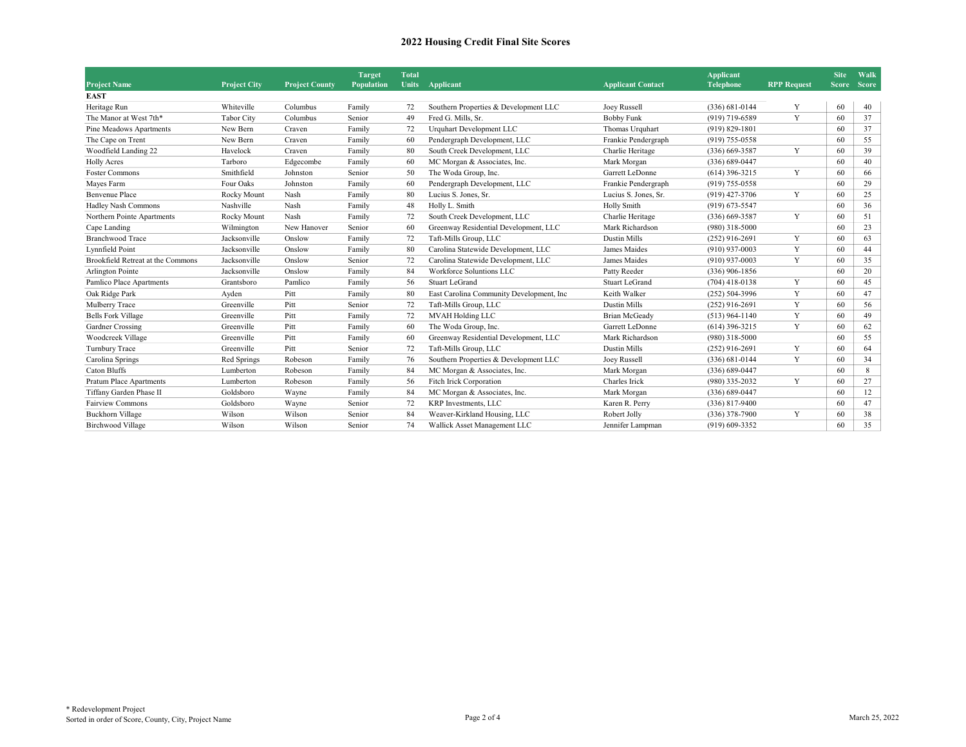| <b>Project Name</b>               | <b>Project City</b> | <b>Project County</b> | <b>Target</b><br><b>Population</b> | <b>Total</b><br><b>Units</b> | Applicant                                 | <b>Applicant Contact</b> | <b>Applicant</b><br><b>Telephone</b> | <b>RPP Request</b> | <b>Site</b> | Walk<br>Score Score |
|-----------------------------------|---------------------|-----------------------|------------------------------------|------------------------------|-------------------------------------------|--------------------------|--------------------------------------|--------------------|-------------|---------------------|
| <b>EAST</b>                       |                     |                       |                                    |                              |                                           |                          |                                      |                    |             |                     |
| Heritage Run                      | Whiteville          | Columbus              | Family                             | 72                           | Southern Properties & Development LLC     | Joey Russell             | $(336) 681 - 0144$                   | Y                  | 60          | 40                  |
| The Manor at West 7th*            | <b>Tabor City</b>   | Columbus              | Senior                             | 49                           | Fred G. Mills, Sr.                        | <b>Bobby Funk</b>        | $(919)$ 719-6589                     | Y                  | 60          | 37                  |
| Pine Meadows Apartments           | New Bern            | Craven                | Family                             | 72                           | Urquhart Development LLC                  | Thomas Urquhart          | $(919) 829 - 1801$                   |                    | 60          | 37                  |
| The Cape on Trent                 | New Bern            | Craven                | Family                             | 60                           | Pendergraph Development, LLC              | Frankie Pendergraph      | $(919)$ 755-0558                     |                    | 60          | 55                  |
| Woodfield Landing 22              | Havelock            | Craven                | Family                             | 80                           | South Creek Development, LLC              | Charlie Heritage         | $(336)$ 669-3587                     | Y                  | 60          | 39                  |
| <b>Holly Acres</b>                | Tarboro             | Edgecombe             | Family                             | 60                           | MC Morgan & Associates, Inc.              | Mark Morgan              | $(336) 689 - 0447$                   |                    | 60          | 40                  |
| Foster Commons                    | Smithfield          | Johnston              | Senior                             | 50                           | The Woda Group, Inc.                      | Garrett LeDonne          | $(614)$ 396-3215                     | Y                  | 60          | 66                  |
| Mayes Farm                        | Four Oaks           | Johnston              | Family                             | 60                           | Pendergraph Development, LLC              | Frankie Pendergraph      | $(919)$ 755-0558                     |                    | 60          | 29                  |
| <b>Benvenue Place</b>             | Rocky Mount         | Nash                  | Family                             | 80                           | Lucius S. Jones, Sr.                      | Lucius S. Jones, Sr.     | $(919)$ 427-3706                     | Y                  | 60          | 25                  |
| Hadley Nash Commons               | Nashville           | Nash                  | Family                             | 48                           | Holly L. Smith                            | <b>Holly Smith</b>       | $(919)$ 673-5547                     |                    | 60          | 36                  |
| Northern Pointe Apartments        | Rocky Mount         | Nash                  | Family                             | 72                           | South Creek Development, LLC              | Charlie Heritage         | $(336)$ 669-3587                     | Y                  | 60          | 51                  |
| Cape Landing                      | Wilmington          | New Hanover           | Senior                             | 60                           | Greenway Residential Development, LLC     | Mark Richardson          | $(980)$ 318-5000                     |                    | 60          | 23                  |
| <b>Branchwood Trace</b>           | Jacksonville        | Onslow                | Family                             | 72                           | Taft-Mills Group, LLC                     | <b>Dustin Mills</b>      | $(252)$ 916-2691                     | Y                  | 60          | 63                  |
| Lynnfield Point                   | Jacksonville        | Onslow                | Family                             | 80                           | Carolina Statewide Development, LLC       | James Maides             | $(910)$ 937-0003                     | Y                  | 60          | 44                  |
| Brookfield Retreat at the Commons | Jacksonville        | Onslow                | Senior                             | 72                           | Carolina Statewide Development, LLC       | James Maides             | $(910)$ 937-0003                     | Y                  | 60          | 35                  |
| Arlington Pointe                  | Jacksonville        | Onslow                | Family                             | 84                           | <b>Workforce Soluntions LLC</b>           | Patty Reeder             | $(336)$ 906-1856                     |                    | 60          | 20                  |
| Pamlico Place Apartments          | Grantsboro          | Pamlico               | Family                             | 56                           | <b>Stuart LeGrand</b>                     | <b>Stuart LeGrand</b>    | $(704)$ 418-0138                     | Y                  | 60          | 45                  |
| Oak Ridge Park                    | Ayden               | Pitt                  | Family                             | 80                           | East Carolina Community Development, Inc. | Keith Walker             | $(252) 504 - 3996$                   | Y                  | 60          | 47                  |
| Mulberry Trace                    | Greenville          | Pitt                  | Senior                             | 72                           | Taft-Mills Group, LLC                     | <b>Dustin Mills</b>      | $(252)$ 916-2691                     | Y                  | 60          | 56                  |
| <b>Bells Fork Village</b>         | Greenville          | Pitt                  | Family                             | 72                           | MVAH Holding LLC                          | <b>Brian McGeady</b>     | $(513)$ 964-1140                     | Y                  | 60          | 49                  |
| Gardner Crossing                  | Greenville          | Pitt                  | Family                             | 60                           | The Woda Group, Inc.                      | Garrett LeDonne          | $(614)$ 396-3215                     | Y                  | 60          | 62                  |
| Woodcreek Village                 | Greenville          | Pitt                  | Family                             | 60                           | Greenway Residential Development, LLC     | Mark Richardson          | $(980)$ 318-5000                     |                    | 60          | 55                  |
| Turnbury Trace                    | Greenville          | Pitt                  | Senior                             | 72                           | Taft-Mills Group, LLC                     | <b>Dustin Mills</b>      | $(252)$ 916-2691                     | Y                  | 60          | 64                  |
| Carolina Springs                  | Red Springs         | Robeson               | Family                             | 76                           | Southern Properties & Development LLC     | Joey Russell             | $(336) 681 - 0144$                   | Y                  | 60          | 34                  |
| Caton Bluffs                      | Lumberton           | Robeson               | Family                             | 84                           | MC Morgan & Associates, Inc.              | Mark Morgan              | $(336) 689 - 0447$                   |                    | 60          | 8                   |
| <b>Pratum Place Apartments</b>    | Lumberton           | Robeson               | Family                             | 56                           | Fitch Irick Corporation                   | Charles Irick            | (980) 335-2032                       | Y                  | 60          | 27                  |
| Tiffany Garden Phase II           | Goldsboro           | Wayne                 | Family                             | 84                           | MC Morgan & Associates, Inc.              | Mark Morgan              | $(336) 689 - 0447$                   |                    | 60          | 12                  |
| <b>Fairview Commons</b>           | Goldsboro           | Wayne                 | Senior                             | 72                           | <b>KRP</b> Investments, LLC               | Karen R. Perry           | $(336)$ 817-9400                     |                    | 60          | 47                  |
| <b>Buckhorn Village</b>           | Wilson              | Wilson                | Senior                             | 84                           | Weaver-Kirkland Housing, LLC              | Robert Jolly             | $(336)$ 378-7900                     | Y                  | 60          | 38                  |
| <b>Birchwood Village</b>          | Wilson              | Wilson                | Senior                             | 74                           | Wallick Asset Management LLC              | Jennifer Lampman         | $(919)$ 609-3352                     |                    | 60          | 35                  |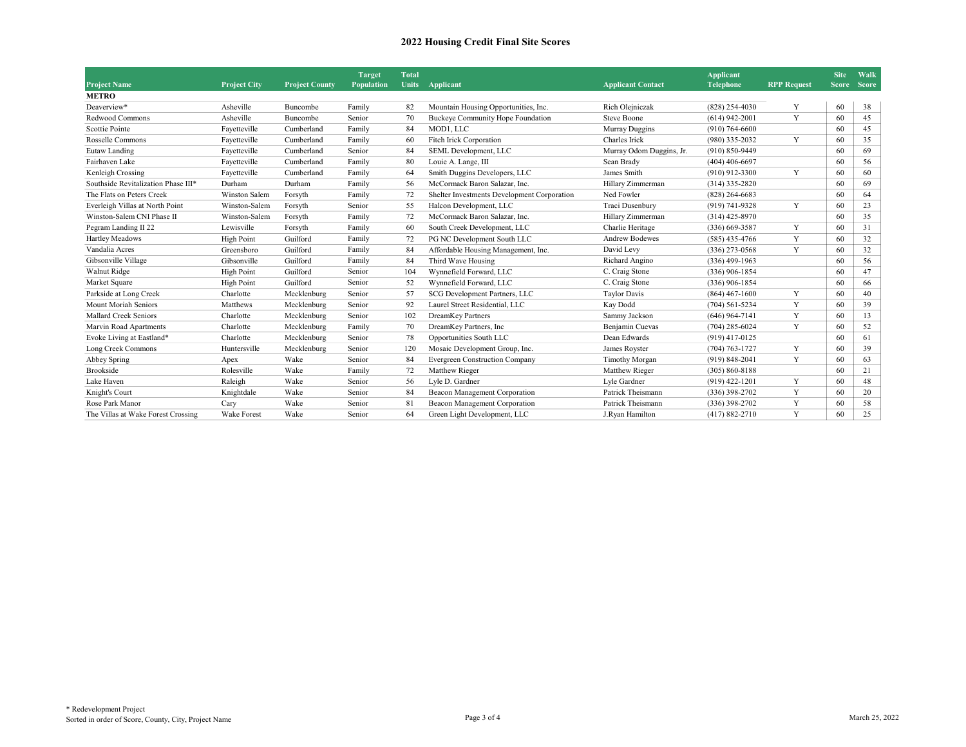|                                     |                     |                       | <b>Target</b>     | <b>Total</b> |                                             |                          | <b>Applicant</b>   |                    | <b>Site</b> | Walk        |
|-------------------------------------|---------------------|-----------------------|-------------------|--------------|---------------------------------------------|--------------------------|--------------------|--------------------|-------------|-------------|
| <b>Project Name</b>                 | <b>Project City</b> | <b>Project County</b> | <b>Population</b> | <b>Units</b> | Applicant                                   | <b>Applicant Contact</b> | <b>Telephone</b>   | <b>RPP Request</b> |             | Score Score |
| <b>METRO</b>                        |                     |                       |                   |              |                                             |                          |                    |                    |             |             |
| Deaverview*                         | Asheville           | Buncombe              | Family            | 82           | Mountain Housing Opportunities, Inc.        | Rich Olejniczak          | $(828)$ 254-4030   | Y                  | 60          | 38          |
| Redwood Commons                     | Asheville           | Buncombe              | Senior            | 70           | Buckeye Community Hope Foundation           | <b>Steve Boone</b>       | $(614)$ 942-2001   | Y                  | 60          | 45          |
| <b>Scottie Pointe</b>               | Fayetteville        | Cumberland            | Family            | 84           | MOD1, LLC                                   | Murray Duggins           | $(910)$ 764-6600   |                    | 60          | 45          |
| Rosselle Commons                    | Fayetteville        | Cumberland            | Family            | 60           | Fitch Irick Corporation                     | Charles Irick            | (980) 335-2032     | Y                  | 60          | 35          |
| Eutaw Landing                       | Fayetteville        | Cumberland            | Senior            | 84           | SEML Development, LLC                       | Murray Odom Duggins, Jr. | $(910) 850 - 9449$ |                    | 60          | 69          |
| Fairhaven Lake                      | Fayetteville        | Cumberland            | Family            | 80           | Louie A. Lange, III                         | Sean Brady               | $(404)$ 406-6697   |                    | 60          | 56          |
| Kenleigh Crossing                   | Fayetteville        | Cumberland            | Family            | 64           | Smith Duggins Developers, LLC               | James Smith              | $(910)$ 912-3300   | Y                  | 60          | 60          |
| Southside Revitalization Phase III* | Durham              | Durham                | Family            | 56           | McCormack Baron Salazar, Inc.               | Hillary Zimmerman        | $(314)$ 335-2820   |                    | 60          | 69          |
| The Flats on Peters Creek           | Winston Salem       | Forsyth               | Family            | 72           | Shelter Investments Development Corporation | Ned Fowler               | $(828)$ 264-6683   |                    | 60          | 64          |
| Everleigh Villas at North Point     | Winston-Salem       | Forsyth               | Senior            | 55           | Halcon Development, LLC                     | Traci Dusenbury          | (919) 741-9328     | Y                  | 60          | 23          |
| Winston-Salem CNI Phase II          | Winston-Salem       | Forsyth               | Family            | 72           | McCormack Baron Salazar, Inc.               | Hillary Zimmerman        | $(314)$ 425-8970   |                    | 60          | 35          |
| Pegram Landing II 22                | Lewisville          | Forsyth               | Family            | 60           | South Creek Development, LLC                | Charlie Heritage         | $(336)$ 669-3587   | Y                  | 60          | 31          |
| Hartley Meadows                     | <b>High Point</b>   | Guilford              | Family            | 72           | PG NC Development South LLC                 | <b>Andrew Bodewes</b>    | $(585)$ 435-4766   | Y                  | 60          | 32          |
| Vandalia Acres                      | Greensboro          | Guilford              | Family            | 84           | Affordable Housing Management, Inc.         | David Levy               | $(336)$ 273-0568   | Y                  | 60          | 32          |
| Gibsonville Village                 | Gibsonville         | Guilford              | Family            | 84           | Third Wave Housing                          | Richard Angino           | $(336)$ 499-1963   |                    | 60          | 56          |
| Walnut Ridge                        | High Point          | Guilford              | Senior            | 104          | Wynnefield Forward, LLC                     | C. Craig Stone           | $(336)$ 906-1854   |                    | 60          | 47          |
| Market Square                       | <b>High Point</b>   | Guilford              | Senior            | 52           | Wynnefield Forward, LLC                     | C. Craig Stone           | $(336)$ 906-1854   |                    | 60          | 66          |
| Parkside at Long Creek              | Charlotte           | Mecklenburg           | Senior            | 57           | SCG Development Partners, LLC               | <b>Taylor Davis</b>      | $(864)$ 467-1600   | Y                  | 60          | 40          |
| Mount Moriah Seniors                | Matthews            | Mecklenburg           | Senior            | 92           | Laurel Street Residential, LLC              | Kay Dodd                 | $(704) 561 - 5234$ | Y                  | 60          | 39          |
| <b>Mallard Creek Seniors</b>        | Charlotte           | Mecklenburg           | Senior            | 102          | DreamKey Partners                           | Sammy Jackson            | $(646)$ 964-7141   | Y                  | 60          | 13          |
| Marvin Road Apartments              | Charlotte           | Mecklenburg           | Family            | 70           | DreamKey Partners, Inc.                     | Benjamin Cuevas          | $(704)$ 285-6024   | Y                  | 60          | 52          |
| Evoke Living at Eastland*           | Charlotte           | Mecklenburg           | Senior            | 78           | Opportunities South LLC                     | Dean Edwards             | $(919)$ 417-0125   |                    | 60          | 61          |
| Long Creek Commons                  | Huntersville        | Mecklenburg           | Senior            | 120          | Mosaic Development Group, Inc.              | James Royster            | $(704) 763 - 1727$ | Y                  | 60          | 39          |
| Abbey Spring                        | Apex                | Wake                  | Senior            | 84           | <b>Evergreen Construction Company</b>       | Timothy Morgan           | $(919) 848 - 2041$ | Y                  | 60          | 63          |
| <b>Brookside</b>                    | Rolesville          | Wake                  | Family            | 72           | Matthew Rieger                              | Matthew Rieger           | $(305) 860 - 8188$ |                    | 60          | 21          |
| Lake Haven                          | Raleigh             | Wake                  | Senior            | 56           | Lyle D. Gardner                             | Lyle Gardner             | $(919)$ 422-1201   | Y                  | 60          | 48          |
| Knight's Court                      | Knightdale          | Wake                  | Senior            | 84           | Beacon Management Corporation               | Patrick Theismann        | $(336)$ 398-2702   | Y                  | 60          | 20          |
| Rose Park Manor                     | Carv                | Wake                  | Senior            | 81           | Beacon Management Corporation               | Patrick Theismann        | $(336)$ 398-2702   | Y                  | 60          | 58          |
| The Villas at Wake Forest Crossing  | <b>Wake Forest</b>  | Wake                  | Senior            | 64           | Green Light Development, LLC                | J.Ryan Hamilton          | $(417) 882 - 2710$ | Y                  | 60          | 25          |